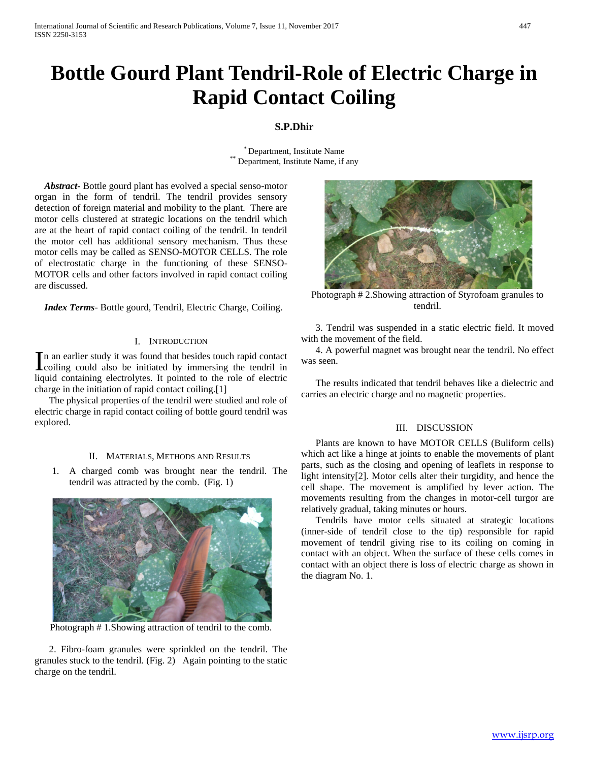# **Bottle Gourd Plant Tendril-Role of Electric Charge in Rapid Contact Coiling**

## **S.P.Dhir**

 $*$  Department, Institute Name, if any Department, Institute Name, if any

 *Abstract***-** Bottle gourd plant has evolved a special senso-motor organ in the form of tendril. The tendril provides sensory detection of foreign material and mobility to the plant. There are motor cells clustered at strategic locations on the tendril which are at the heart of rapid contact coiling of the tendril. In tendril the motor cell has additional sensory mechanism. Thus these motor cells may be called as SENSO-MOTOR CELLS. The role of electrostatic charge in the functioning of these SENSO-MOTOR cells and other factors involved in rapid contact coiling are discussed.

 *Index Terms*- Bottle gourd, Tendril, Electric Charge, Coiling.

#### I. INTRODUCTION

n an earlier study it was found that besides touch rapid contact In an earlier study it was found that besides touch rapid contact<br>coiling could also be initiated by immersing the tendril in liquid containing electrolytes. It pointed to the role of electric charge in the initiation of rapid contact coiling.[1]

 The physical properties of the tendril were studied and role of electric charge in rapid contact coiling of bottle gourd tendril was explored.

#### II. MATERIALS, METHODS AND RESULTS

1. A charged comb was brought near the tendril. The tendril was attracted by the comb. (Fig. 1)



Photograph # 1.Showing attraction of tendril to the comb.

 2. Fibro-foam granules were sprinkled on the tendril. The granules stuck to the tendril. (Fig. 2) Again pointing to the static charge on the tendril.



Photograph # 2.Showing attraction of Styrofoam granules to tendril.

 3. Tendril was suspended in a static electric field. It moved with the movement of the field.

 4. A powerful magnet was brought near the tendril. No effect was seen.

 The results indicated that tendril behaves like a dielectric and carries an electric charge and no magnetic properties.

#### III. DISCUSSION

 Plants are known to have MOTOR CELLS (Buliform cells) which act like a hinge at joints to enable the movements of plant parts, such as the closing and opening of leaflets in response to light intensity[2]. Motor cells alter their turgidity, and hence the cell shape. The movement is amplified by lever action. The movements resulting from the changes in motor-cell turgor are relatively gradual, taking minutes or hours.

 Tendrils have motor cells situated at strategic locations (inner-side of tendril close to the tip) responsible for rapid movement of tendril giving rise to its coiling on coming in contact with an object. When the surface of these cells comes in contact with an object there is loss of electric charge as shown in the diagram No. 1.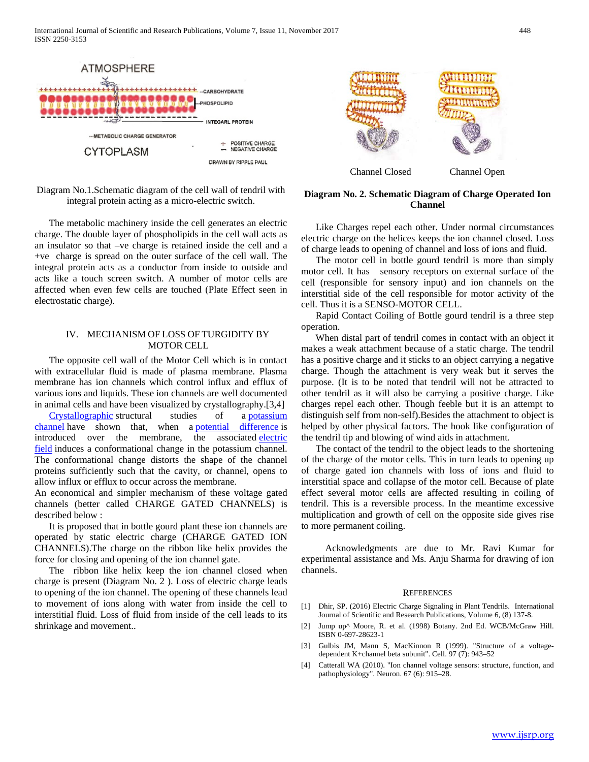

Diagram No.1.Schematic diagram of the cell wall of tendril with integral protein acting as a micro-electric switch.

 The metabolic machinery inside the cell generates an electric charge. The double layer of phospholipids in the cell wall acts as an insulator so that –ve charge is retained inside the cell and a +ve charge is spread on the outer surface of the cell wall. The integral protein acts as a conductor from inside to outside and acts like a touch screen switch. A number of motor cells are affected when even few cells are touched (Plate Effect seen in electrostatic charge).

#### IV. MECHANISM OF LOSS OF TURGIDITY BY MOTOR CELL

 The opposite cell wall of the Motor Cell which is in contact with extracellular fluid is made of plasma membrane. Plasma membrane has ion channels which control influx and efflux of various ions and liquids. These ion channels are well documented in animal cells and have been visualized by crystallography.[3,4]

 [Crystallographic](https://en.wikipedia.org/wiki/X-ray_crystallography) structural studies of a [potassium](https://en.wikipedia.org/wiki/Potassium_channel)  [channel](https://en.wikipedia.org/wiki/Potassium_channel) have shown that, when a [potential difference](https://en.wikipedia.org/wiki/Potential_difference) is introduced over the membrane, the associated electric [field](https://en.wikipedia.org/wiki/Electric_field) induces a conformational change in the potassium channel. The conformational change distorts the shape of the channel proteins sufficiently such that the cavity, or channel, opens to allow influx or efflux to occur across the membrane.

An economical and simpler mechanism of these voltage gated channels (better called CHARGE GATED CHANNELS) is described below :

 It is proposed that in bottle gourd plant these ion channels are operated by static electric charge (CHARGE GATED ION CHANNELS).The charge on the ribbon like helix provides the force for closing and opening of the ion channel gate.

 The ribbon like helix keep the ion channel closed when charge is present (Diagram No. 2 ). Loss of electric charge leads to opening of the ion channel. The opening of these channels lead to movement of ions along with water from inside the cell to interstitial fluid. Loss of fluid from inside of the cell leads to its shrinkage and movement..



### **Diagram No. 2. Schematic Diagram of Charge Operated Ion Channel**

 Like Charges repel each other. Under normal circumstances electric charge on the helices keeps the ion channel closed. Loss of charge leads to opening of channel and loss of ions and fluid.

 The motor cell in bottle gourd tendril is more than simply motor cell. It has sensory receptors on external surface of the cell (responsible for sensory input) and ion channels on the interstitial side of the cell responsible for motor activity of the cell. Thus it is a SENSO-MOTOR CELL.

 Rapid Contact Coiling of Bottle gourd tendril is a three step operation.

 When distal part of tendril comes in contact with an object it makes a weak attachment because of a static charge. The tendril has a positive charge and it sticks to an object carrying a negative charge. Though the attachment is very weak but it serves the purpose. (It is to be noted that tendril will not be attracted to other tendril as it will also be carrying a positive charge. Like charges repel each other. Though feeble but it is an attempt to distinguish self from non-self).Besides the attachment to object is helped by other physical factors. The hook like configuration of the tendril tip and blowing of wind aids in attachment.

 The contact of the tendril to the object leads to the shortening of the charge of the motor cells. This in turn leads to opening up of charge gated ion channels with loss of ions and fluid to interstitial space and collapse of the motor cell. Because of plate effect several motor cells are affected resulting in coiling of tendril. This is a reversible process. In the meantime excessive multiplication and growth of cell on the opposite side gives rise to more permanent coiling.

 Acknowledgments are due to Mr. Ravi Kumar for experimental assistance and Ms. Anju Sharma for drawing of ion channels.

#### REFERENCES

- [1] Dhir, SP. (2016) Electric Charge Signaling in Plant Tendrils. International Journal of Scientific and Research Publications, Volume 6, (8) 137-8.
- [2] Jump up^ Moore, R. et al. (1998) Botany. 2nd Ed. WCB/McGraw Hill. ISBN 0-697-28623-1
- [3] Gulbis JM, Mann S, MacKinnon R (1999). "Structure of a voltagedependent K+channel beta subunit". Cell. 97 (7): 943–52
- [4] Catterall WA (2010). "Ion channel voltage sensors: structure, function, and pathophysiology". Neuron. 67 (6): 915–28.